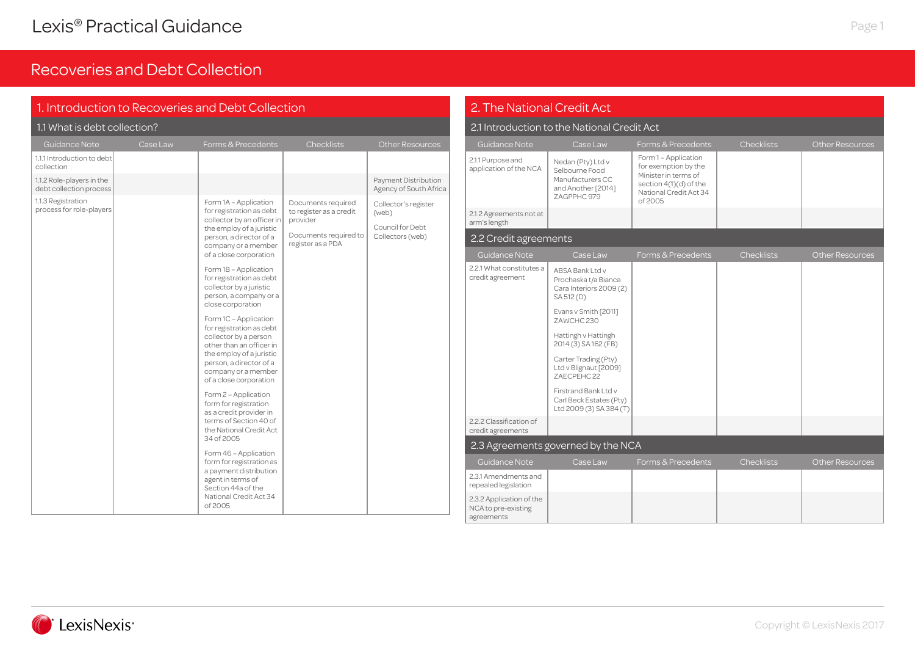| 1. Introduction to Recoveries and Debt Collection    |                                                                                                                                                                                                                                                                                                                                                                                                                           |                                                                   |                                                                                                                                                                                                                                                                                                                     | 2. The National Credit Act |                                                               |                                                         |                                                                      |                        |                        |
|------------------------------------------------------|---------------------------------------------------------------------------------------------------------------------------------------------------------------------------------------------------------------------------------------------------------------------------------------------------------------------------------------------------------------------------------------------------------------------------|-------------------------------------------------------------------|---------------------------------------------------------------------------------------------------------------------------------------------------------------------------------------------------------------------------------------------------------------------------------------------------------------------|----------------------------|---------------------------------------------------------------|---------------------------------------------------------|----------------------------------------------------------------------|------------------------|------------------------|
| 1.1 What is debt collection?                         |                                                                                                                                                                                                                                                                                                                                                                                                                           |                                                                   |                                                                                                                                                                                                                                                                                                                     |                            |                                                               | 2.1 Introduction to the National Credit Act             |                                                                      |                        |                        |
| Guidance Note                                        | Case Law                                                                                                                                                                                                                                                                                                                                                                                                                  | Forms & Precedents                                                | <b>Checklists</b>                                                                                                                                                                                                                                                                                                   | <b>Other Resources</b>     | Guidance Note                                                 | Case Law                                                | Forms & Precedents                                                   | <b>Checklists</b>      | <b>Other Resources</b> |
| 1.1.1 Introduction to debt<br>collection             |                                                                                                                                                                                                                                                                                                                                                                                                                           |                                                                   |                                                                                                                                                                                                                                                                                                                     | Payment Distribution       | 2.1.1 Purpose and<br>application of the NCA                   | Nedan (Pty) Ltd v<br>Selbourne Food<br>Manufacturers CC | Form 1 - Application<br>for exemption by the<br>Minister in terms of |                        |                        |
| 1.1.2 Role-players in the<br>debt collection process |                                                                                                                                                                                                                                                                                                                                                                                                                           |                                                                   |                                                                                                                                                                                                                                                                                                                     | Agency of South Africa     |                                                               | and Another [2014]<br>ZAGPPHC 979                       | section 4(1)(d) of the<br>National Credit Act 34                     |                        |                        |
| 1.1.3 Registration<br>process for role-players       |                                                                                                                                                                                                                                                                                                                                                                                                                           | Form 1A - Application<br>for registration as debt                 | Documents required<br>to register as a credit                                                                                                                                                                                                                                                                       | Collector's register       |                                                               |                                                         | of 2005                                                              |                        |                        |
|                                                      |                                                                                                                                                                                                                                                                                                                                                                                                                           | collector by an officer in<br>the employ of a juristic            | provider                                                                                                                                                                                                                                                                                                            | (web)<br>Council for Debt  | 2.1.2 Agreements not at<br>arm's length                       |                                                         |                                                                      |                        |                        |
|                                                      | person, a director of a<br>company or a member                                                                                                                                                                                                                                                                                                                                                                            | Documents required to<br>register as a PDA                        | Collectors (web)                                                                                                                                                                                                                                                                                                    | 2.2 Credit agreements      |                                                               |                                                         |                                                                      |                        |                        |
|                                                      | of a close corporation                                                                                                                                                                                                                                                                                                                                                                                                    |                                                                   |                                                                                                                                                                                                                                                                                                                     | Guidance Note              | Case Law                                                      | Forms & Precedents                                      | <b>Checklists</b>                                                    | <b>Other Resources</b> |                        |
|                                                      | Form 1B - Application<br>for registration as debt<br>collector by a juristic<br>person, a company or a<br>close corporation<br>Form 1C - Application<br>for registration as debt<br>collector by a person<br>other than an officer in<br>the employ of a juristic<br>person, a director of a<br>company or a member<br>of a close corporation<br>Form 2 - Application<br>form for registration<br>as a credit provider in | 2.2.1 What constitutes a<br>credit agreement                      | ABSA Bank Ltd v<br>Prochaska t/a Bianca<br>Cara Interiors 2009 (2)<br>SA 512 (D)<br>Evans v Smith [2011]<br>ZAWCHC 230<br>Hattingh v Hattingh<br>2014 (3) SA 162 (FB)<br>Carter Trading (Pty)<br>Ltd v Blignaut [2009]<br>ZAECPEHC 22<br>Firstrand Bank Ltd v<br>Carl Beck Estates (Pty)<br>Ltd 2009 (3) SA 384 (T) |                            |                                                               |                                                         |                                                                      |                        |                        |
|                                                      |                                                                                                                                                                                                                                                                                                                                                                                                                           | terms of Section 40 of<br>the National Credit Act                 |                                                                                                                                                                                                                                                                                                                     |                            | 2.2.2 Classification of<br>credit agreements                  |                                                         |                                                                      |                        |                        |
|                                                      |                                                                                                                                                                                                                                                                                                                                                                                                                           | 34 of 2005                                                        |                                                                                                                                                                                                                                                                                                                     |                            |                                                               | 2.3 Agreements governed by the NCA                      |                                                                      |                        |                        |
|                                                      |                                                                                                                                                                                                                                                                                                                                                                                                                           | Form 46 - Application<br>form for registration as                 |                                                                                                                                                                                                                                                                                                                     |                            | Guidance Note                                                 | Case Law                                                | Forms & Precedents                                                   | <b>Checklists</b>      | <b>Other Resources</b> |
|                                                      |                                                                                                                                                                                                                                                                                                                                                                                                                           | a payment distribution<br>agent in terms of<br>Section 44a of the |                                                                                                                                                                                                                                                                                                                     |                            | 2.3.1 Amendments and<br>repealed legislation                  |                                                         |                                                                      |                        |                        |
|                                                      |                                                                                                                                                                                                                                                                                                                                                                                                                           | National Credit Act 34<br>of 2005                                 |                                                                                                                                                                                                                                                                                                                     |                            | 2.3.2 Application of the<br>NCA to pre-existing<br>agreements |                                                         |                                                                      |                        |                        |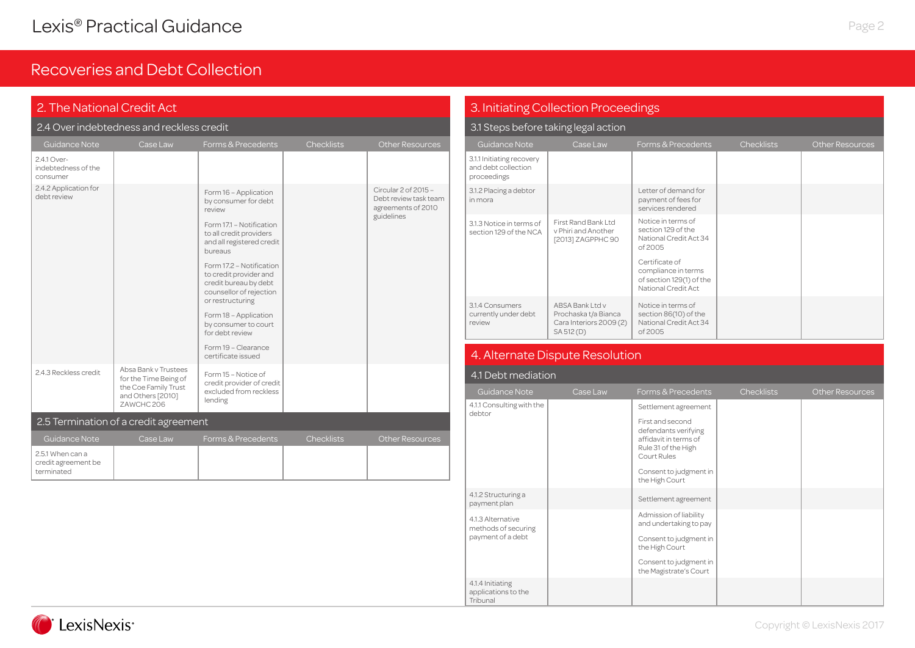| 2. The National Credit Act                            |                                                                                                          |                                                                                                                                                                                                                                                                                                                                                                                                       |                   |                                                                                   |  |  |  |  |
|-------------------------------------------------------|----------------------------------------------------------------------------------------------------------|-------------------------------------------------------------------------------------------------------------------------------------------------------------------------------------------------------------------------------------------------------------------------------------------------------------------------------------------------------------------------------------------------------|-------------------|-----------------------------------------------------------------------------------|--|--|--|--|
|                                                       | 2.4 Over indebtedness and reckless credit                                                                |                                                                                                                                                                                                                                                                                                                                                                                                       |                   |                                                                                   |  |  |  |  |
| <b>Guidance Note</b>                                  | Case Law                                                                                                 | Forms & Precedents                                                                                                                                                                                                                                                                                                                                                                                    | <b>Checklists</b> | <b>Other Resources</b>                                                            |  |  |  |  |
| 2.4.1 Over-<br>indebtedness of the<br>consumer        |                                                                                                          |                                                                                                                                                                                                                                                                                                                                                                                                       |                   |                                                                                   |  |  |  |  |
| 2.4.2 Application for<br>debt review                  |                                                                                                          | Form 16 - Application<br>by consumer for debt<br>review<br>Form 17.1 - Notification<br>to all credit providers<br>and all registered credit<br>bureaus<br>Form 17.2 - Notification<br>to credit provider and<br>credit bureau by debt<br>counsellor of rejection<br>or restructuring<br>Form 18 - Application<br>by consumer to court<br>for debt review<br>Form 19 - Clearance<br>certificate issued |                   | Circular 2 of 2015 -<br>Debt review task team<br>agreements of 2010<br>guidelines |  |  |  |  |
| 2.4.3 Reckless credit                                 | Absa Bank v Trustees<br>for the Time Being of<br>the Coe Family Trust<br>and Others [2010]<br>ZAWCHC 206 | Form 15 - Notice of<br>credit provider of credit<br>excluded from reckless<br>lending                                                                                                                                                                                                                                                                                                                 |                   |                                                                                   |  |  |  |  |
|                                                       | 2.5 Termination of a credit agreement                                                                    |                                                                                                                                                                                                                                                                                                                                                                                                       |                   |                                                                                   |  |  |  |  |
| Guidance Note                                         | Case Law                                                                                                 | Forms & Precedents                                                                                                                                                                                                                                                                                                                                                                                    | <b>Checklists</b> | <b>Other Resources</b>                                                            |  |  |  |  |
| 2.5.1 When can a<br>credit agreement be<br>terminated |                                                                                                          |                                                                                                                                                                                                                                                                                                                                                                                                       |                   |                                                                                   |  |  |  |  |

### 3. Initiating Collection Proceedings

### 3.1 Steps before taking legal action

| Guidance Note                                                   | Case Law                                                                        | Forms & Precedents                                                                       | <b>Checklists</b> | <b>Other Resources</b> |
|-----------------------------------------------------------------|---------------------------------------------------------------------------------|------------------------------------------------------------------------------------------|-------------------|------------------------|
| 3.1.1 Initiating recovery<br>and debt collection<br>proceedings |                                                                                 |                                                                                          |                   |                        |
| 3.1.2 Placing a debtor<br>in mora                               |                                                                                 | Letter of demand for<br>payment of fees for<br>services rendered                         |                   |                        |
| 3.1.3 Notice in terms of<br>section 129 of the NCA              | First Rand Bank Ltd<br>v Phiri and Another<br>[2013] ZAGPPHC 90                 | Notice in terms of<br>section 129 of the<br>National Credit Act 34<br>of 2005            |                   |                        |
|                                                                 |                                                                                 | Certificate of<br>compliance in terms<br>of section 129(1) of the<br>National Credit Act |                   |                        |
| 3.1.4 Consumers<br>currently under debt<br>review               | ABSA Bank Ltd v<br>Prochaska t/a Bianca<br>Cara Interiors 2009 (2)<br>SA 512(D) | Notice in terms of<br>section 86(10) of the<br>National Credit Act 34<br>of 2005         |                   |                        |

## 4. Alternate Dispute Resolution

| 4.1 Debt mediation                                  |          |                                                                                                         |                   |                        |  |  |  |  |
|-----------------------------------------------------|----------|---------------------------------------------------------------------------------------------------------|-------------------|------------------------|--|--|--|--|
| Guidance Note                                       | Case Law | Forms & Precedents                                                                                      | <b>Checklists</b> | <b>Other Resources</b> |  |  |  |  |
| 4.1.1 Consulting with the<br>debtor                 |          | Settlement agreement                                                                                    |                   |                        |  |  |  |  |
|                                                     |          | First and second<br>defendants verifying<br>affidavit in terms of<br>Rule 31 of the High<br>Court Rules |                   |                        |  |  |  |  |
|                                                     |          | Consent to judgment in<br>the High Court                                                                |                   |                        |  |  |  |  |
| 4.1.2 Structuring a<br>payment plan                 |          | Settlement agreement                                                                                    |                   |                        |  |  |  |  |
| 4.1.3 Alternative<br>methods of securing            |          | Admission of liability<br>and undertaking to pay                                                        |                   |                        |  |  |  |  |
| payment of a debt                                   |          | Consent to judgment in<br>the High Court                                                                |                   |                        |  |  |  |  |
|                                                     |          | Consent to judgment in<br>the Magistrate's Court                                                        |                   |                        |  |  |  |  |
| 4.1.4 Initiating<br>applications to the<br>Tribunal |          |                                                                                                         |                   |                        |  |  |  |  |

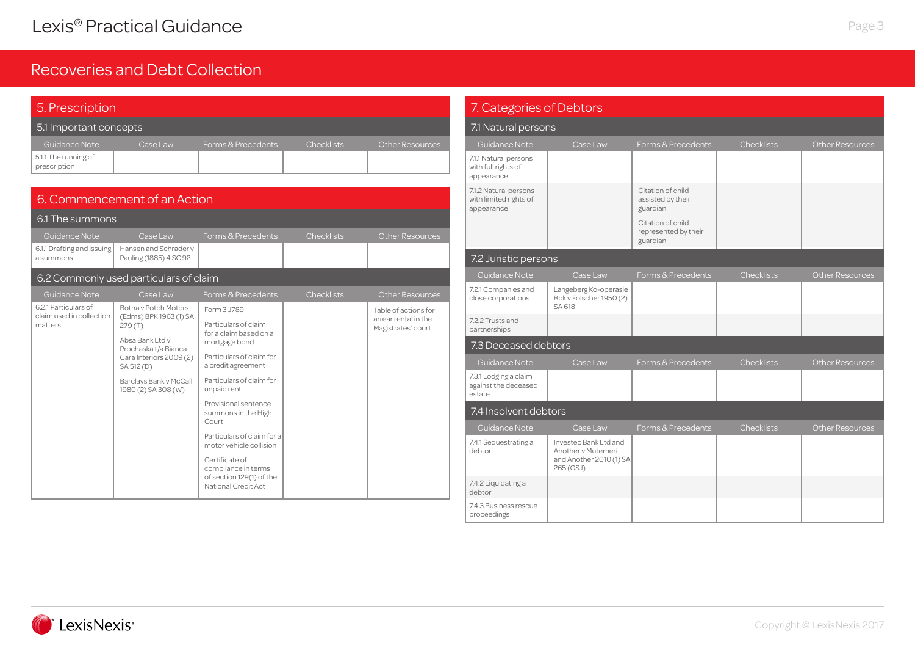| 5. Prescription                      |          |                    |                   |                        |  |  |  |  |
|--------------------------------------|----------|--------------------|-------------------|------------------------|--|--|--|--|
| 5.1 Important concepts               |          |                    |                   |                        |  |  |  |  |
| Guidance Note                        | Case Law | Forms & Precedents | <b>Checklists</b> | <b>Other Resources</b> |  |  |  |  |
| 5.1.1 The running of<br>prescription |          |                    |                   |                        |  |  |  |  |

| 6. Commencement of an Action                     |                                                                                            |                                                                                          |                   |                                            |  |  |  |  |
|--------------------------------------------------|--------------------------------------------------------------------------------------------|------------------------------------------------------------------------------------------|-------------------|--------------------------------------------|--|--|--|--|
| 6.1 The summons                                  |                                                                                            |                                                                                          |                   |                                            |  |  |  |  |
| Guidance Note                                    | Case Law                                                                                   | Forms & Precedents                                                                       | <b>Checklists</b> | <b>Other Resources</b>                     |  |  |  |  |
| 6.1.1 Drafting and issuing<br>a summons          | Hansen and Schrader v<br>Pauling (1885) 4 SC 92                                            |                                                                                          |                   |                                            |  |  |  |  |
|                                                  | 6.2 Commonly used particulars of claim                                                     |                                                                                          |                   |                                            |  |  |  |  |
| Guidance Note                                    | Case Law                                                                                   | Forms & Precedents                                                                       | <b>Checklists</b> | <b>Other Resources</b>                     |  |  |  |  |
| 6.2.1 Particulars of<br>claim used in collection | Botha y Potch Motors<br>(Edms) BPK 1963 (1) SA                                             | Form 3.J789                                                                              |                   | Table of actions for                       |  |  |  |  |
| matters                                          | 279(T)<br>Absa Bank Ltd v<br>Prochaska t/a Bianca<br>Cara Interiors 2009 (2)<br>SA 512 (D) | Particulars of claim<br>for a claim based on a<br>mortgage bond                          |                   | arrear rental in the<br>Magistrates' court |  |  |  |  |
|                                                  |                                                                                            | Particulars of claim for<br>a credit agreement                                           |                   |                                            |  |  |  |  |
|                                                  | Barclays Bank v McCall<br>1980 (2) SA 308 (W)                                              | Particulars of claim for<br>unpaid rent                                                  |                   |                                            |  |  |  |  |
|                                                  |                                                                                            | Provisional sentence<br>summons in the High<br>Court                                     |                   |                                            |  |  |  |  |
|                                                  |                                                                                            | Particulars of claim for a<br>motor vehicle collision                                    |                   |                                            |  |  |  |  |
|                                                  |                                                                                            | Certificate of<br>compliance in terms<br>of section 129(1) of the<br>National Credit Act |                   |                                            |  |  |  |  |

| 7. Categories of Debtors                                      |                                                                                     |                                                       |                   |                        |
|---------------------------------------------------------------|-------------------------------------------------------------------------------------|-------------------------------------------------------|-------------------|------------------------|
| 7.1 Natural persons                                           |                                                                                     |                                                       |                   |                        |
| <b>Guidance Note</b>                                          | Case Law                                                                            | Forms & Precedents                                    | <b>Checklists</b> | <b>Other Resources</b> |
| 7.1.1 Natural persons<br>with full rights of<br>appearance    |                                                                                     |                                                       |                   |                        |
| 7.1.2 Natural persons<br>with limited rights of<br>appearance |                                                                                     | Citation of child<br>assisted by their<br>guardian    |                   |                        |
|                                                               |                                                                                     | Citation of child<br>represented by their<br>guardian |                   |                        |
| 7.2 Juristic persons                                          |                                                                                     |                                                       |                   |                        |
| Guidance Note                                                 | Case Law                                                                            | Forms & Precedents                                    | Checklists        | Other Resources        |
| 7.2.1 Companies and<br>close corporations                     | Langeberg Ko-operasie<br>Bpk v Folscher 1950 (2)<br>SA 618                          |                                                       |                   |                        |
| 7.2.2 Trusts and<br>partnerships                              |                                                                                     |                                                       |                   |                        |
| 7.3 Deceased debtors                                          |                                                                                     |                                                       |                   |                        |
| <b>Guidance Note</b>                                          | Case Law                                                                            | Forms & Precedents                                    | <b>Checklists</b> | <b>Other Resources</b> |
| 7.3.1 Lodging a claim<br>against the deceased<br>estate       |                                                                                     |                                                       |                   |                        |
| 7.4 Insolvent debtors                                         |                                                                                     |                                                       |                   |                        |
| <b>Guidance Note</b>                                          | Case Law                                                                            | Forms & Precedents                                    | <b>Checklists</b> | <b>Other Resources</b> |
| 7.4.1 Sequestrating a<br>debtor                               | Investec Bank Ltd and<br>Another v Mutemeri<br>and Another 2010 (1) SA<br>265 (GSJ) |                                                       |                   |                        |
| 7.4.2 Liquidating a<br>debtor                                 |                                                                                     |                                                       |                   |                        |
| 7.4.3 Business rescue<br>proceedings                          |                                                                                     |                                                       |                   |                        |

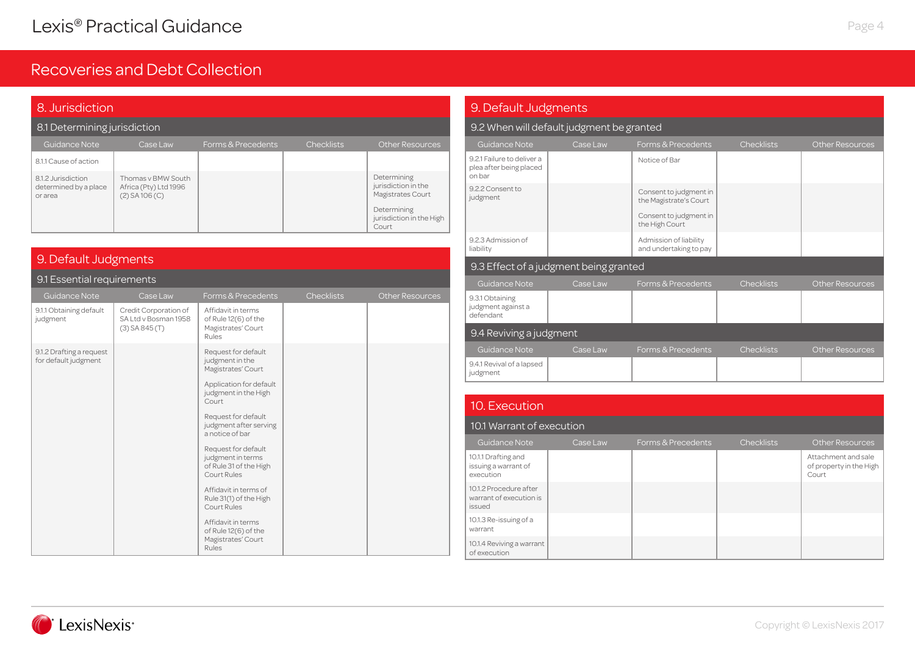| 8. Jurisdiction                                        |                                                                   |                    |                   |                                                                                                             |  |  |  |  |  |
|--------------------------------------------------------|-------------------------------------------------------------------|--------------------|-------------------|-------------------------------------------------------------------------------------------------------------|--|--|--|--|--|
| 8.1 Determining jurisdiction                           |                                                                   |                    |                   |                                                                                                             |  |  |  |  |  |
| Guidance Note                                          | Case Law                                                          | Forms & Precedents | <b>Checklists</b> | <b>Other Resources</b>                                                                                      |  |  |  |  |  |
| 8.1.1 Cause of action                                  |                                                                   |                    |                   |                                                                                                             |  |  |  |  |  |
| 8.1.2 Jurisdiction<br>determined by a place<br>or area | Thomas y BMW South<br>Africa (Pty) Ltd 1996<br>$(2)$ SA 106 $(C)$ |                    |                   | Determining<br>jurisdiction in the<br>Magistrates Court<br>Determining<br>jurisdiction in the High<br>Court |  |  |  |  |  |

### 9. Default Judgments

#### 9.1 Essential requirements

| Guidance Note                                    | Case Law                                                          | Forms & Precedents                                                                | <b>Checklists</b> | <b>Other Resources</b> |
|--------------------------------------------------|-------------------------------------------------------------------|-----------------------------------------------------------------------------------|-------------------|------------------------|
| 9.1.1 Obtaining default<br>judgment              | Credit Corporation of<br>SA Ltd v Bosman 1958<br>$(3)$ SA 845 (T) | Affidavit in terms<br>of Rule 12(6) of the<br>Magistrates' Court<br>Rules         |                   |                        |
| 9.1.2 Drafting a request<br>for default judgment |                                                                   | Request for default<br>judgment in the<br>Magistrates' Court                      |                   |                        |
|                                                  |                                                                   | Application for default<br>judgment in the High<br>Court                          |                   |                        |
|                                                  |                                                                   | Request for default<br>judgment after serving<br>a notice of bar                  |                   |                        |
|                                                  |                                                                   | Request for default<br>judgment in terms<br>of Rule 31 of the High<br>Court Rules |                   |                        |
|                                                  |                                                                   | Affidavit in terms of<br>Rule 31(1) of the High<br>Court Rules                    |                   |                        |
|                                                  |                                                                   | Affidavit in terms<br>of Rule 12(6) of the<br>Magistrates' Court<br>Rules         |                   |                        |

#### 9.4.1 Revival of a lapsed judgment 9.3.1 Obtaining judgment against a defendant 9. Default Judgments 9.2 When will default judgment be granted 9.2.1 Failure to deliver a plea after being placed on bar Notice of Bar 9.2.2 Consent to judgment Consent to judgment in the Magistrate's Court Consent to judgment in the High Court 9.2.3 Admission of liability Admission of liability and undertaking to pay 9.3 Effect of a judgment being granted 9.4 Reviving a judgment

#### 10. Execution

#### 10.1 Warrant of execution

| Guidance Note                                               | Case Law | Forms & Precedents | <b>Checklists</b> | Other Resources                                         |
|-------------------------------------------------------------|----------|--------------------|-------------------|---------------------------------------------------------|
| 10.1.1 Drafting and<br>issuing a warrant of<br>execution    |          |                    |                   | Attachment and sale<br>of property in the High<br>Court |
| 10.1.2 Procedure after<br>warrant of execution is<br>issued |          |                    |                   |                                                         |
| 10.1.3 Re-issuing of a<br>warrant                           |          |                    |                   |                                                         |
| 10.1.4 Reviving a warrant<br>of execution                   |          |                    |                   |                                                         |



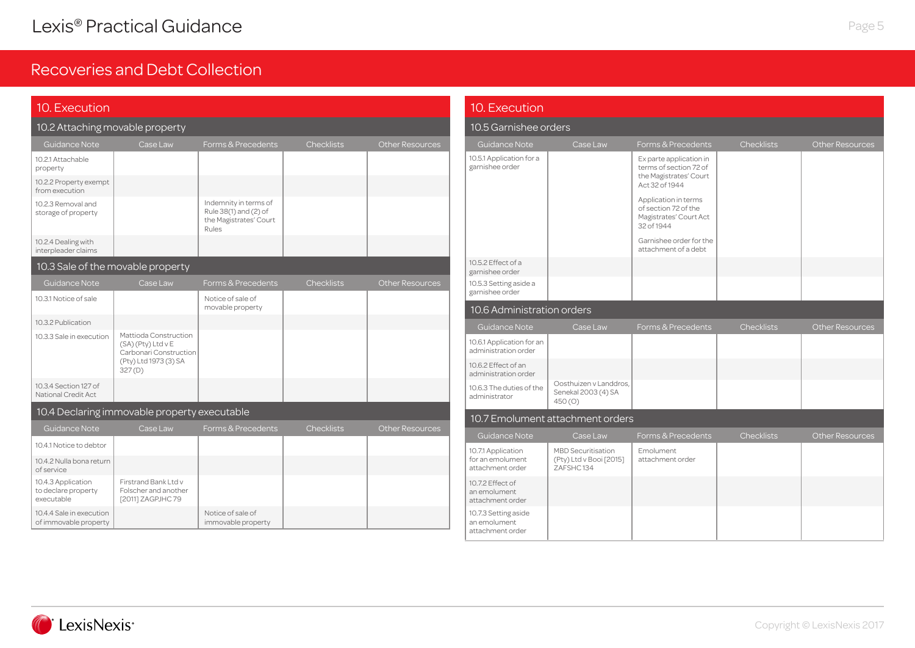| 10. Execution                                           |                                                                       |                                                                                   |                   |                        | 10. Execution                                            |                                                                     |                                                                                      |                   |                        |
|---------------------------------------------------------|-----------------------------------------------------------------------|-----------------------------------------------------------------------------------|-------------------|------------------------|----------------------------------------------------------|---------------------------------------------------------------------|--------------------------------------------------------------------------------------|-------------------|------------------------|
| 10.2 Attaching movable property                         |                                                                       |                                                                                   |                   |                        | 10.5 Garnishee orders                                    |                                                                     |                                                                                      |                   |                        |
| Guidance Note                                           | Case Law                                                              | Forms & Precedents                                                                | <b>Checklists</b> | <b>Other Resources</b> | <b>Guidance Note</b>                                     | Case Law                                                            | Forms & Precedents                                                                   | <b>Checklists</b> | <b>Other Resources</b> |
| 10.2.1 Attachable<br>property                           |                                                                       |                                                                                   |                   |                        | 10.5.1 Application for a<br>garnishee order              |                                                                     | Ex parte application in<br>terms of section 72 of<br>the Magistrates' Court          |                   |                        |
| 10.2.2 Property exempt<br>from execution                |                                                                       |                                                                                   |                   |                        |                                                          |                                                                     | Act 32 of 1944                                                                       |                   |                        |
| 10.2.3 Removal and<br>storage of property               |                                                                       | Indemnity in terms of<br>Rule 38(1) and (2) of<br>the Magistrates' Court<br>Rules |                   |                        |                                                          |                                                                     | Application in terms<br>of section 72 of the<br>Magistrates' Court Act<br>32 of 1944 |                   |                        |
| 10.2.4 Dealing with<br>interpleader claims              |                                                                       |                                                                                   |                   |                        |                                                          |                                                                     | Garnishee order for the<br>attachment of a debt                                      |                   |                        |
| 10.3 Sale of the movable property                       |                                                                       |                                                                                   |                   |                        | 10.5.2 Effect of a<br>garnishee order                    |                                                                     |                                                                                      |                   |                        |
| Guidance Note                                           | Case Law                                                              | Forms & Precedents                                                                | Checklists        | <b>Other Resources</b> | 10.5.3 Setting aside a<br>garnishee order                |                                                                     |                                                                                      |                   |                        |
| 10.3.1 Notice of sale                                   |                                                                       | Notice of sale of<br>movable property                                             |                   |                        | 10.6 Administration orders                               |                                                                     |                                                                                      |                   |                        |
| 10.3.2 Publication                                      |                                                                       |                                                                                   |                   |                        | <b>Guidance Note</b>                                     | Case Law                                                            | Forms & Precedents                                                                   | <b>Checklists</b> | <b>Other Resources</b> |
| 10.3.3 Sale in execution                                | Mattioda Construction<br>(SA) (Pty) Ltd v E<br>Carbonari Construction |                                                                                   |                   |                        | 10.6.1 Application for an<br>administration order        |                                                                     |                                                                                      |                   |                        |
|                                                         | (Pty) Ltd 1973 (3) SA<br>327(D)                                       |                                                                                   |                   |                        | 10.6.2 Effect of an<br>administration order              |                                                                     |                                                                                      |                   |                        |
| 10.3.4 Section 127 of<br>National Credit Act            |                                                                       |                                                                                   |                   |                        | 10.6.3 The duties of the<br>administrator                | Oosthuizen v Landdros,<br>Senekal 2003 (4) SA<br>450 <sub>(O)</sub> |                                                                                      |                   |                        |
|                                                         | 10.4 Declaring immovable property executable                          |                                                                                   |                   |                        |                                                          | 10.7 Emolument attachment orders                                    |                                                                                      |                   |                        |
| Guidance Note                                           | Case Law                                                              | Forms & Precedents                                                                | <b>Checklists</b> | <b>Other Resources</b> | Guidance Note                                            | Case Law                                                            | Forms & Precedents                                                                   | <b>Checklists</b> | <b>Other Resources</b> |
| 10.4.1 Notice to debtor                                 |                                                                       |                                                                                   |                   |                        | 10.7.1 Application                                       | <b>MBD</b> Securitisation                                           | Emolument                                                                            |                   |                        |
| 10.4.2 Nulla bona return<br>of service                  |                                                                       |                                                                                   |                   |                        | for an emolument<br>attachment order                     | (Pty) Ltd v Booi [2015]<br>ZAFSHC134                                | attachment order                                                                     |                   |                        |
| 10.4.3 Application<br>to declare property<br>executable | Firstrand Bank Ltd v<br>Folscher and another<br>[2011] ZAGPJHC 79     |                                                                                   |                   |                        | 10.7.2 Effect of<br>an emolument.<br>attachment order    |                                                                     |                                                                                      |                   |                        |
| 10.4.4 Sale in execution<br>of immovable property       |                                                                       | Notice of sale of<br>immovable property                                           |                   |                        | 10.7.3 Setting aside<br>an emolument<br>attachment order |                                                                     |                                                                                      |                   |                        |